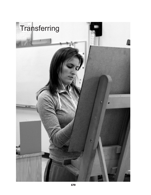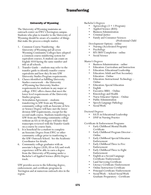# **Transferring**

# University of Wyoming

The University of Wyoming maintains an outreach center on EWC's Torrington campus. Students who plan to transfer to the University of Wyoming should be aware of a number of things that make the process a simple matter.

- 1. Common Course Numbering the University of Wyoming and all seven Wyoming Community Colleges have adopted a common course numbering system for equivalent courses. A student can count on English 1010 having the same number and title at all schools.
- 2. Transfer Guide students may refer to the transfer guide to identify transfer course equivalents and how they fit into UW University Studies Program requirements.
- 3. Classes identified as fulfilling University Studies coursework – the University of Wyoming has University Studies requirements for students in any major or college. EWC offers classes that meet the lower level requirements of the University Studies program.
- 4. Articulation Agreement students transferring to UW from any Wyoming community college with an Associate of Arts or Science Degree will have met the lower division USP requirements, except for the second math course. Students transferring to UW from any Wyoming community college without an AA or AS degree will have their transcripts reviewed with the Transfer Guide on a course by course basis.
- 5. It is beneficial for a student to complete an Associate Degree from EWC or other community college prior to tranferring to the UW Outreach School. See the Academic Coordinator for details.
- 6. Community college graduates with an associate's degree (AAS, AS or AA) and work experience will be able to earn a degree from the University of Wyoming under a Bachelor's of Applied Science (BAS) Degree track.

UW provides access to the following degree, endorsement, and certificate programs in Torrington and at numerous outreach sites in the region.

- 
- 
- 
- 
- Bachelor's Degrees<br>
 Agroecology (3 + 1 Program)<br>
 Applied Science (BAS)<br>
 Business Administration<br>
 Criminal Justice<br>
 Family and Consumer Sciences<br>
(Professional Child

- Development Option) online
- 
- 
- Nursing (Accelerated Program) Psychology RN/BSN Completion online Social Science
- 

- Master's Degrees<br>• Business Administration online<br>• Education: Curriculum and Instruction
	-
	- Education: Educational Leadership Education: Adult and Post-Secondary
	-
	- Education Online<br>
	Education: Instructional Technology –
	-
	-
	-
	-
	- Online Education: Special Education English Executive MBA Online Kinesiology and Health Nurse Educator Option Online Public Administration
	-
	- Speech-Language Pathology
	- Social Work

# Doctoral Degrees

- Ed.D. in Educational Leadership
- DNP in Nursing Practice

Certificate & Endorsement Programs

- Early Childhood Mental Health
- Certificate<br>Early Childhood Program Director Online
- Early Childhood Special Education Endorsement
- Early Childhood Three to Five Endorsement
- Early Childhood Three to Eight Endorsement
- English as a Second Language Certificate/Endorsement
- Land Surveying Certificate
- Literacy Certificate/Endorsement
- Online Instruction Certificate
- Principal Certificate/Endorsement
- Social Work School Social Work Graduate Preparatory - Certificate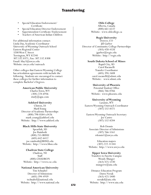# **Transferring**

- Special Education Endorsement/ Certificate Special Education Director Endorsement Superintendent Certificate/Endorsement Teachers of American Indian Children
- 
- 
- 

For additional information contact: Linda Day, Academic Coordinator University of Wyoming Outreach School Eastern Regional Center 3200 West C Street Torrington, WY 82240 307.532.8371, Fax: 307.532.8308 Email: lday3@uwyo.edu Website: uwyo.edu/outreach

Other colleges that Eastern Wyoming College has articulation agreements with include the following. Students are encouraged to contact these colleges for further information to complete Bachelor's Degrees.

# **American Public University**

Charles Town, WV (304) 224-6936 study@apu.com

### **Ashford University**

Clinton, IA Mark Young Director of Academic Partnerships (800) 798-0584 x3426 mark.young@ashford.edu Website: http://www.ashford.edu

## **Black Hills State University**

Spearfish, SD Joe Rainboth (800) 255-BHSU (605) 642-6412 joe.rainboth@BHSU.edu Website: http://www.bhsu.edu

# **Chadron State College** Chadron, NE Staff (800) CHADRON Website: http://www.csc.edu

# **National American University**

Tim Schnabel Director of Admissions (605) 394-4939 tschnabel@national.edu Website: http://www.national.edu

### **Olds College**

Alberta, Canada (800) 661-6537 Website: www.oldcollege.ca

### **Regis University**

Denver, CO Jill Garber Director of Community College Partnerships (303) 458-4326 jgarber@regis.edu Website: http://regis.edu

#### **South Dakota School of Mines**

Rapid City, SD Carol Racanelli Transfer Coordinator (605) 394-1608 carol.racanelli@sdsmt.edu Website: www.sdsmt.edu

**University of Phoenix** Potential Student Office (866) 766-0766 Website: www.phoenix.edu

## **University of Wyoming**

Laramie, WY Eastern Wyoming Outreach Coordinator (307) 532-8371

Eastern Wyoming Outreach Secretary Joe Castro (307) 532-8204

Rob Dennis Associate Director of Admissions (307) 766-5161 rdennis1@uwyo.edu

Education majors (307) 222-31344 Website: http://www.uwyo.edu

#### **Upper Iowa University**

Transfers to Fayette Campus Wendy Munger (563) 425-5330 mungerw@uiu.edu

Distance Education Program Dawn Novak (563) 425-5400 novakd@uiu.edu Website: http://www.uiu.edu